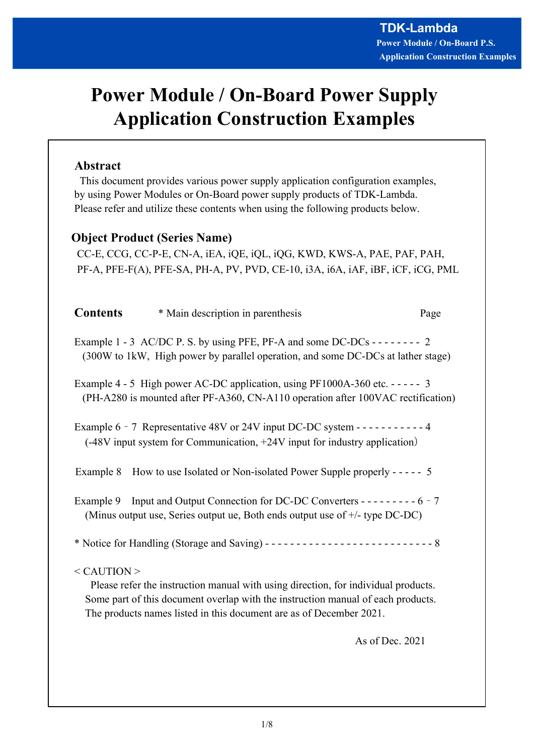# Power Module / On-Board Power Supply Application Construction Examples

# Abstract

 This document provides various power supply application configuration examples, by using Power Modules or On-Board power supply products of TDK-Lambda. Please refer and utilize these contents when using the following products below.

# Object Product (Series Name)

 CC-E, CCG, CC-P-E, CN-A, iEA, iQE, iQL, iQG, KWD, KWS-A, PAE, PAF, PAH, PF-A, PFE-F(A), PFE-SA, PH-A, PV, PVD, CE-10, i3A, i6A, iAF, iBF, iCF, iCG, PML

| <b>Contents</b> | * Main description in parenthesis                                                                                                                                      | Page |
|-----------------|------------------------------------------------------------------------------------------------------------------------------------------------------------------------|------|
|                 | Example 1 - 3 AC/DC P. S. by using PFE, PF-A and some DC-DCs - - - - - - - - 2<br>(300W to 1kW, High power by parallel operation, and some DC-DCs at lather stage)     |      |
|                 | Example 4 - 5 High power AC-DC application, using $PF1000A-360$ etc. - - - - - 3<br>(PH-A280 is mounted after PF-A360, CN-A110 operation after 100VAC rectification)   |      |
|                 | Example 6 - 7 Representative 48V or 24V input DC-DC system - $---------4$<br>(-48V input system for Communication, +24V input for industry application)                |      |
| Example 8       | How to use Isolated or Non-isolated Power Supple properly - - - - - 5                                                                                                  |      |
|                 | Example 9 Input and Output Connection for DC-DC Converters - - - - - - - - - - 6 - 7<br>(Minus output use, Series output ue, Both ends output use of $+/-$ type DC-DC) |      |
|                 |                                                                                                                                                                        |      |
| $<$ CAUTION $>$ | Please refer the instruction manual with using direction, for individual products.<br>Some part of this document overlap with the instruction manual of each products. |      |

As of Dec. 2021

The products names listed in this document are as of December 2021.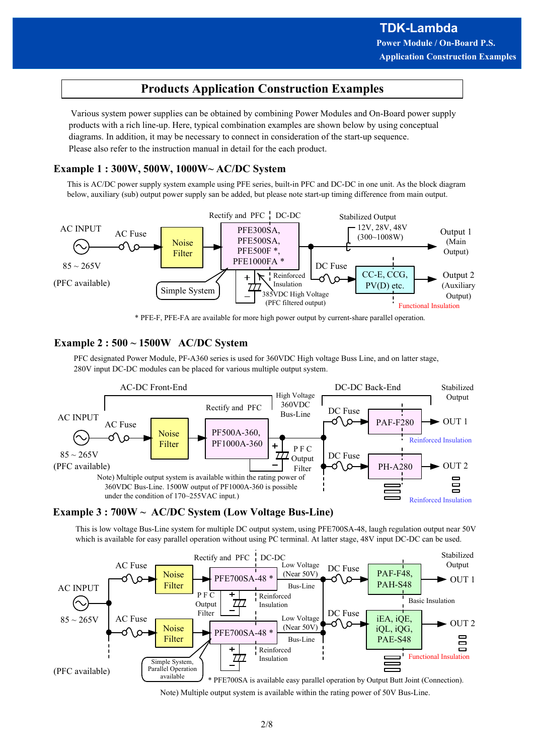# Products Application Construction Examples

 Various system power supplies can be obtained by combining Power Modules and On-Board power supply products with a rich line-up. Here, typical combination examples are shown below by using conceptual diagrams. In addition, it may be necessary to connect in consideration of the start-up sequence. Please also refer to the instruction manual in detail for the each product.

#### Example 1 : 300W, 500W, 1000W~ AC/DC System

This is AC/DC power supply system example using PFE series, built-in PFC and DC-DC in one unit. As the block diagram below, auxiliary (sub) output power supply san be added, but please note start-up timing difference from main output.



\* PFE-F, PFE-FA are available for more high power output by current-share parallel operation.

#### Example 2 : 500 ~ 1500W AC/DC System

PFC designated Power Module, PF-A360 series is used for 360VDC High voltage Buss Line, and on latter stage, 280V input DC-DC modules can be placed for various multiple output system.



#### Example 3 : 700W ~ AC/DC System (Low Voltage Bus-Line)

This is low voltage Bus-Line system for multiple DC output system, using PFE700SA-48, laugh regulation output near 50V which is available for easy parallel operation without using PC terminal. At latter stage, 48V input DC-DC can be used.



Note) Multiple output system is available within the rating power of 50V Bus-Line.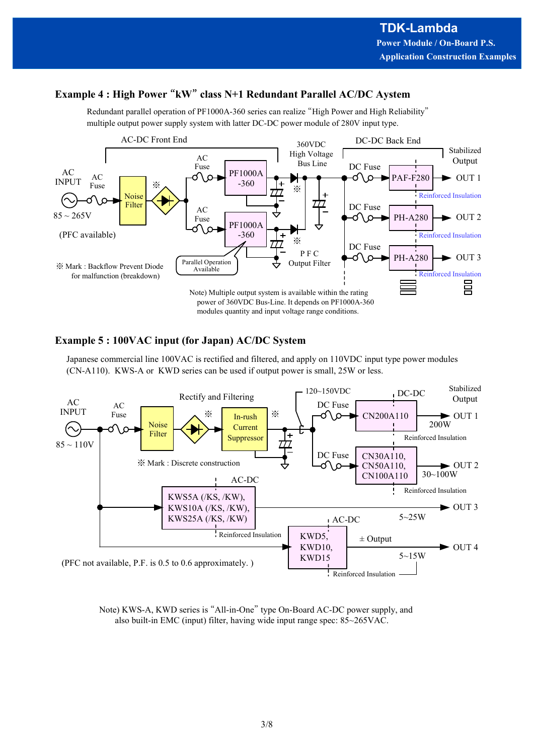# Example 4 : High Power "kW" class N+1 Redundant Parallel AC/DC Aystem

Redundant parallel operation of PF1000A-360 series can realize "High Power and High Reliability" multiple output power supply system with latter DC-DC power module of 280V input type.



#### Example 5 : 100VAC input (for Japan) AC/DC System

Japanese commercial line 100VAC is rectified and filtered, and apply on 110VDC input type power modules (CN-A110). KWS-A or KWD series can be used if output power is small, 25W or less.



Note) KWS-A, KWD series is "All-in-One" type On-Board AC-DC power supply, and also built-in EMC (input) filter, having wide input range spec: 85~265VAC.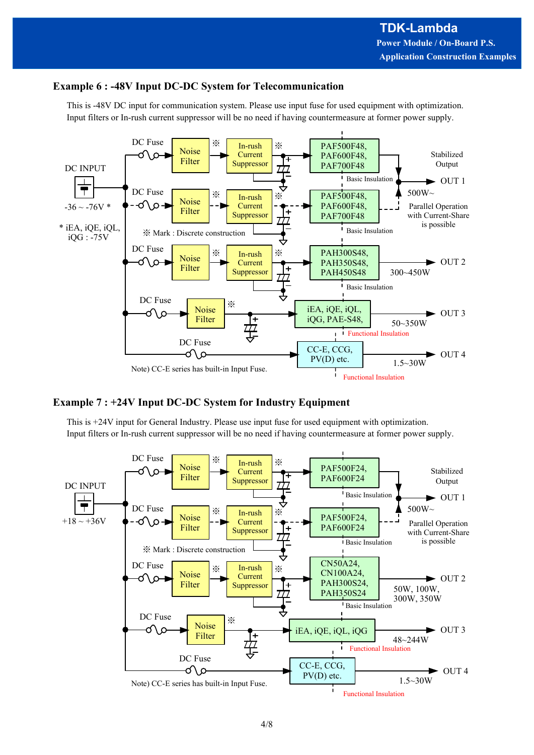### Example 6 : -48V Input DC-DC System for Telecommunication

This is -48V DC input for communication system. Please use input fuse for used equipment with optimization. Input filters or In-rush current suppressor will be no need if having countermeasure at former power supply.



#### Example 7 : +24V Input DC-DC System for Industry Equipment

This is +24V input for General Industry. Please use input fuse for used equipment with optimization. Input filters or In-rush current suppressor will be no need if having countermeasure at former power supply.

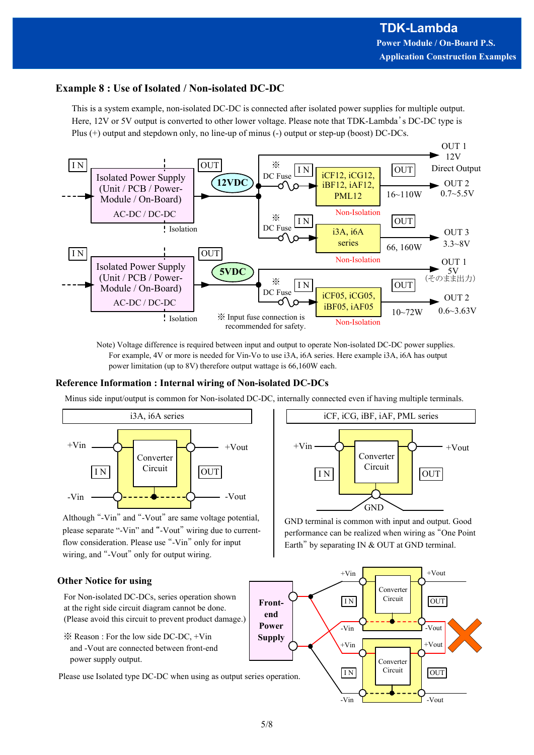### Example 8 : Use of Isolated / Non-isolated DC-DC

This is a system example, non-isolated DC-DC is connected after isolated power supplies for multiple output. Here, 12V or 5V output is converted to other lower voltage. Please note that TDK-Lambda's DC-DC type is Plus (+) output and stepdown only, no line-up of minus (-) output or step-up (boost) DC-DCs.



Note) Voltage difference is required between input and output to operate Non-isolated DC-DC power supplies. For example, 4V or more is needed for Vin-Vo to use i3A, i6A series. Here example i3A, i6A has output power limitation (up to 8V) therefore output wattage is 66,160W each.

#### Reference Information : Internal wiring of Non-isolated DC-DCs

Minus side input/output is common for Non-isolated DC-DC, internally connected even if having multiple terminals.



Although "-Vin" and "-Vout" are same voltage potential, please separate "-Vin" and "-Vout" wiring due to currentflow consideration. Please use "-Vin" only for input wiring, and "-Vout" only for output wiring.

#### Other Notice for using

For Non-isolated DC-DCs, series operation shown  $\begin{bmatrix} \mathbf{F} \mathbf{r} \mathbf{t} \end{bmatrix}$ at the right side circuit diagram cannot be done. (Please avoid this circuit to prevent product damage.)

※ Reason : For the low side DC-DC, +Vin and -Vout are connected between front-end power supply output.

Please use Isolated type DC-DC when using as output series operation.  $\sum_{i=1}^{n}$ 



GND terminal is common with input and output. Good performance can be realized when wiring as "One Point Earth" by separating IN & OUT at GND terminal.

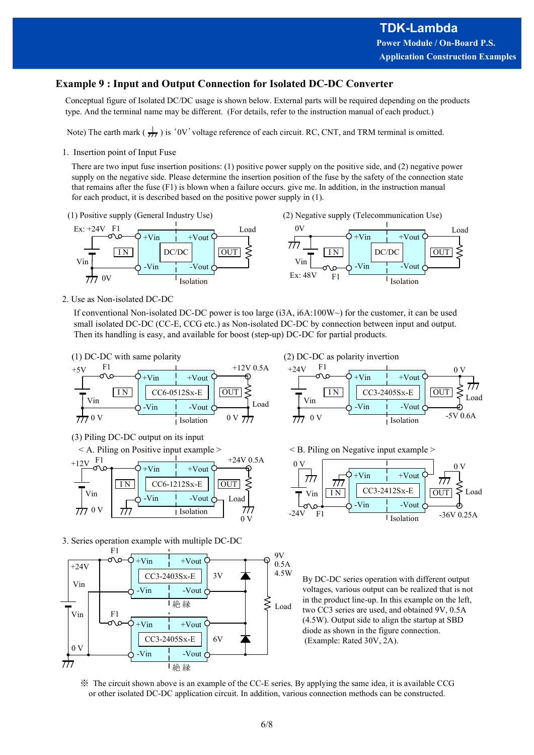Load

#### Example 9 : Input and Output Connection for Isolated DC-DC Converter

Conceptual figure of Isolated DC/DC usage is shown below. External parts will be required depending on the products type. And the terminal name may be different. (For details, refer to the instruction manual of each product.)

Note) The earth mark  $(\frac{1}{\sqrt{1}})$  is '0V' voltage reference of each circuit. RC, CNT, and TRM terminal is omitted.

1. Insertion point of Input Fuse

There are two input fuse insertion positions: (1) positive power supply on the positive side, and (2) negative power supply on the negative side. Please determine the insertion position of the fuse by the safety of the connection state that remains after the fuse (F1) is blown when a failure occurs. give me. In addition, in the instruction manual for each product, it is described based on the positive power supply in (1).





2. Use as Non-isolated DC-DC

If conventional Non-isolated DC-DC power is too large (i3A, i6A:100W~) for the customer, it can be used small isolated DC-DC (CC-E, CCG etc.) as Non-isolated DC-DC by connection between input and output. Then its handling is easy, and available for boost (step-up) DC-DC for partial products.



(3) Piling DC-DC output on its input



3. Series operation example with multiple DC-DC



(2) DC-DC as polarity invertion

 $F1 \qquad \qquad 0 \text{ V}$ Load -5V 0.6A  $0 \text{ V } \frac{1}{\sqrt{1}}$   $0 \text{ V}$   $\frac{1}{\sqrt{10}}$   $0 \text{ V}$   $\frac{1}{\sqrt{10}}$   $0 \text{ V}$ 0 V I N CC6-0512Sx-E OUT I N CC3-2405Sx-E OUT  $+V$ in  $+V$ out  $\bigcirc$  $-Vin$   $\rightarrow$   $Vout \biguparrow \rightarrow$   $\rightarrow$  $\nabla$ in  $\left[\begin{array}{ccc} 1 & 1 \\ 1 & 1 \end{array}\right]$ 

< B. Piling on Negative input example >



Load two  $\overrightarrow{CC}$ 3 series are used, and obtained 9V, 0.5A  $CC3-2405Sx-E$  | 6V  $\bigoplus$  (Example: Rated 30V, 2A). voltages, various output can be realized that is not in the product line-up. In this example on the left, (4.5W). Output side to align the startup at SBD diode as shown in the figure connection.

※ The circuit shown above is an example of the CC-E series. By applying the same idea, it is available CCG or other isolated DC-DC application circuit. In addition, various connection methods can be constructed.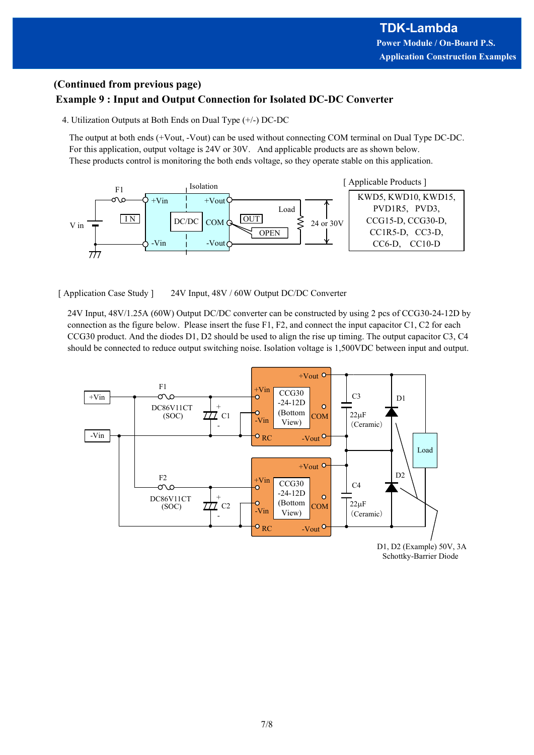## (Continued from previous page) Example 9 : Input and Output Connection for Isolated DC-DC Converter

4. Utilization Outputs at Both Ends on Dual Type (+/-) DC-DC

The output at both ends (+Vout, -Vout) can be used without connecting COM terminal on Dual Type DC-DC. For this application, output voltage is 24V or 30V. And applicable products are as shown below. These products control is monitoring the both ends voltage, so they operate stable on this application.



24V Input, 48V/1.25A (60W) Output DC/DC converter can be constructed by using 2 pcs of CCG30-24-12D by connection as the figure below. Please insert the fuse F1, F2, and connect the input capacitor C1, C2 for each CCG30 product. And the diodes D1, D2 should be used to align the rise up timing. The output capacitor C3, C4 should be connected to reduce output switching noise. Isolation voltage is 1,500VDC between input and output.